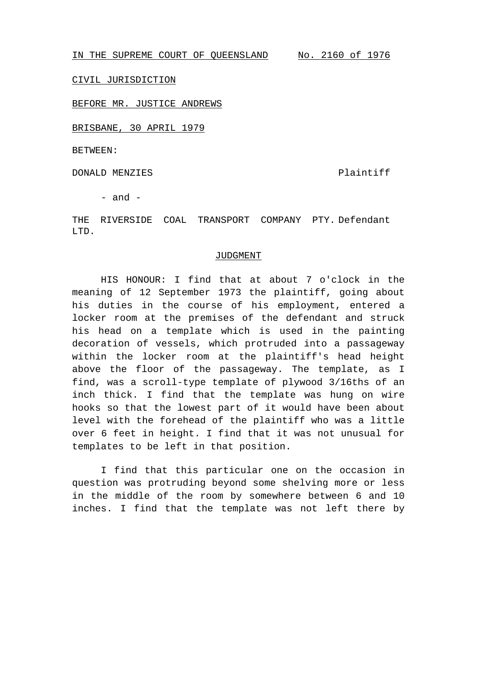IN THE SUPREME COURT OF QUEENSLAND No. 2160 of 1976

CIVIL JURISDICTION

BEFORE MR. JUSTICE ANDREWS

BRISBANE, 30 APRIL 1979

BETWEEN:

DONALD MENZIES Plaintiff

- and -

THE RIVERSIDE COAL TRANSPORT COMPANY PTY. Defendant LTD.

## JUDGMENT

HIS HONOUR: I find that at about 7 o'clock in the meaning of 12 September 1973 the plaintiff, going about his duties in the course of his employment, entered a locker room at the premises of the defendant and struck his head on a template which is used in the painting decoration of vessels, which protruded into a passageway within the locker room at the plaintiff's head height above the floor of the passageway. The template, as I find, was a scroll-type template of plywood 3/16ths of an inch thick. I find that the template was hung on wire hooks so that the lowest part of it would have been about level with the forehead of the plaintiff who was a little over 6 feet in height. I find that it was not unusual for templates to be left in that position.

I find that this particular one on the occasion in question was protruding beyond some shelving more or less in the middle of the room by somewhere between 6 and 10 inches. I find that the template was not left there by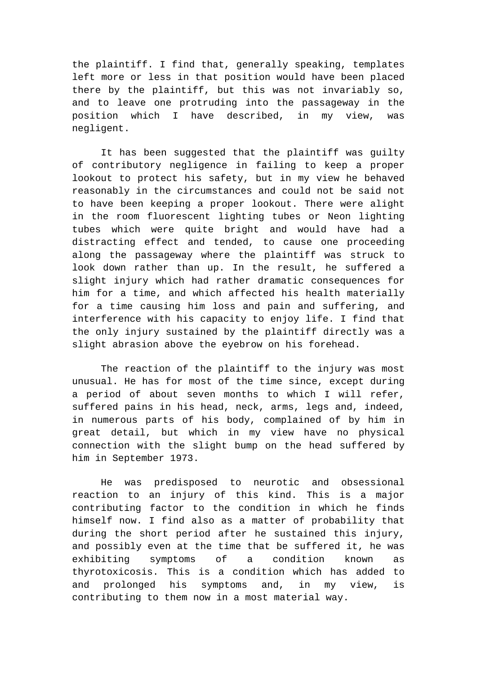the plaintiff. I find that, generally speaking, templates left more or less in that position would have been placed there by the plaintiff, but this was not invariably so, and to leave one protruding into the passageway in the position which I have described, in my view, was negligent.

It has been suggested that the plaintiff was guilty of contributory negligence in failing to keep a proper lookout to protect his safety, but in my view he behaved reasonably in the circumstances and could not be said not to have been keeping a proper lookout. There were alight in the room fluorescent lighting tubes or Neon lighting tubes which were quite bright and would have had a distracting effect and tended, to cause one proceeding along the passageway where the plaintiff was struck to look down rather than up. In the result, he suffered a slight injury which had rather dramatic consequences for him for a time, and which affected his health materially for a time causing him loss and pain and suffering, and interference with his capacity to enjoy life. I find that the only injury sustained by the plaintiff directly was a slight abrasion above the eyebrow on his forehead.

The reaction of the plaintiff to the injury was most unusual. He has for most of the time since, except during a period of about seven months to which I will refer, suffered pains in his head, neck, arms, legs and, indeed, in numerous parts of his body, complained of by him in great detail, but which in my view have no physical connection with the slight bump on the head suffered by him in September 1973.

He was predisposed to neurotic and obsessional reaction to an injury of this kind. This is a major contributing factor to the condition in which he finds himself now. I find also as a matter of probability that during the short period after he sustained this injury, and possibly even at the time that be suffered it, he was exhibiting symptoms of a condition known as thyrotoxicosis. This is a condition which has added to and prolonged his symptoms and, in my view, is contributing to them now in a most material way.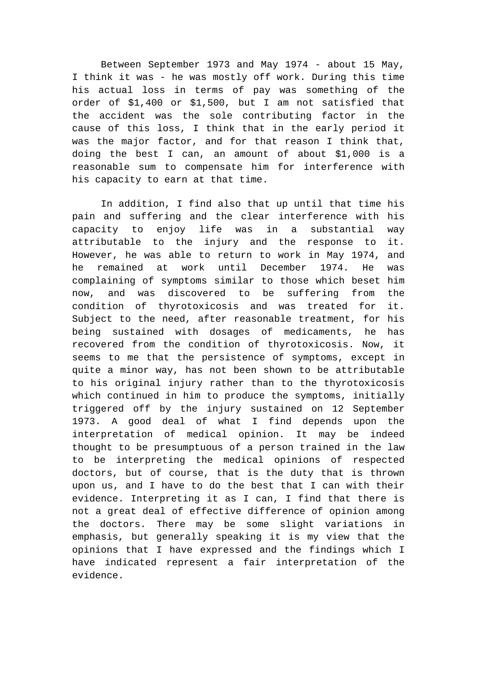Between September 1973 and May 1974 - about 15 May, I think it was - he was mostly off work. During this time his actual loss in terms of pay was something of the order of \$1,400 or \$1,500, but I am not satisfied that the accident was the sole contributing factor in the cause of this loss, I think that in the early period it was the major factor, and for that reason I think that, doing the best I can, an amount of about \$1,000 is a reasonable sum to compensate him for interference with his capacity to earn at that time.

In addition, I find also that up until that time his pain and suffering and the clear interference with his capacity to enjoy life was in a substantial way attributable to the injury and the response to it. However, he was able to return to work in May 1974, and he remained at work until December 1974. He was complaining of symptoms similar to those which beset him now, and was discovered to be suffering from the condition of thyrotoxicosis and was treated for it. Subject to the need, after reasonable treatment, for his being sustained with dosages of medicaments, he has recovered from the condition of thyrotoxicosis. Now, it seems to me that the persistence of symptoms, except in quite a minor way, has not been shown to be attributable to his original injury rather than to the thyrotoxicosis which continued in him to produce the symptoms, initially triggered off by the injury sustained on 12 September 1973. A good deal of what I find depends upon the interpretation of medical opinion. It may be indeed thought to be presumptuous of a person trained in the law to be interpreting the medical opinions of respected doctors, but of course, that is the duty that is thrown upon us, and I have to do the best that I can with their evidence. Interpreting it as I can, I find that there is not a great deal of effective difference of opinion among the doctors. There may be some slight variations in emphasis, but generally speaking it is my view that the opinions that I have expressed and the findings which I have indicated represent a fair interpretation of the evidence.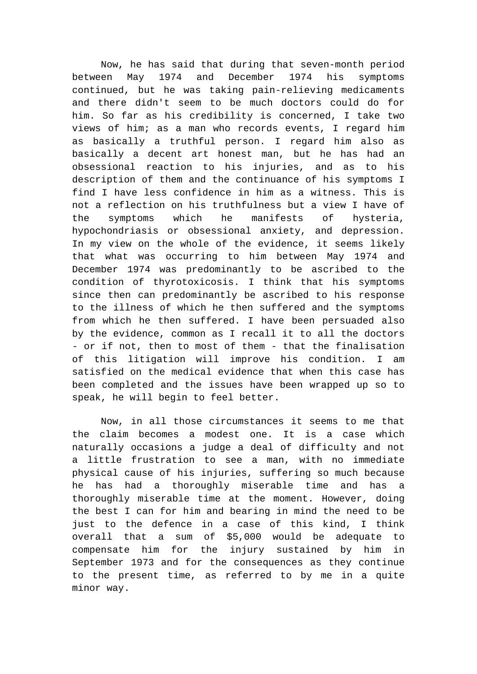Now, he has said that during that seven-month period between May 1974 and December 1974 his symptoms continued, but he was taking pain-relieving medicaments and there didn't seem to be much doctors could do for him. So far as his credibility is concerned, I take two views of him; as a man who records events, I regard him as basically a truthful person. I regard him also as basically a decent art honest man, but he has had an obsessional reaction to his injuries, and as to his description of them and the continuance of his symptoms I find I have less confidence in him as a witness. This is not a reflection on his truthfulness but a view I have of the symptoms which he manifests of hysteria, hypochondriasis or obsessional anxiety, and depression. In my view on the whole of the evidence, it seems likely that what was occurring to him between May 1974 and December 1974 was predominantly to be ascribed to the condition of thyrotoxicosis. I think that his symptoms since then can predominantly be ascribed to his response to the illness of which he then suffered and the symptoms from which he then suffered. I have been persuaded also by the evidence, common as I recall it to all the doctors - or if not, then to most of them - that the finalisation of this litigation will improve his condition. I am satisfied on the medical evidence that when this case has been completed and the issues have been wrapped up so to speak, he will begin to feel better.

Now, in all those circumstances it seems to me that the claim becomes a modest one. It is a case which naturally occasions a judge a deal of difficulty and not a little frustration to see a man, with no immediate physical cause of his injuries, suffering so much because he has had a thoroughly miserable time and has a thoroughly miserable time at the moment. However, doing the best I can for him and bearing in mind the need to be just to the defence in a case of this kind, I think overall that a sum of \$5,000 would be adequate to compensate him for the injury sustained by him in September 1973 and for the consequences as they continue to the present time, as referred to by me in a quite minor way.